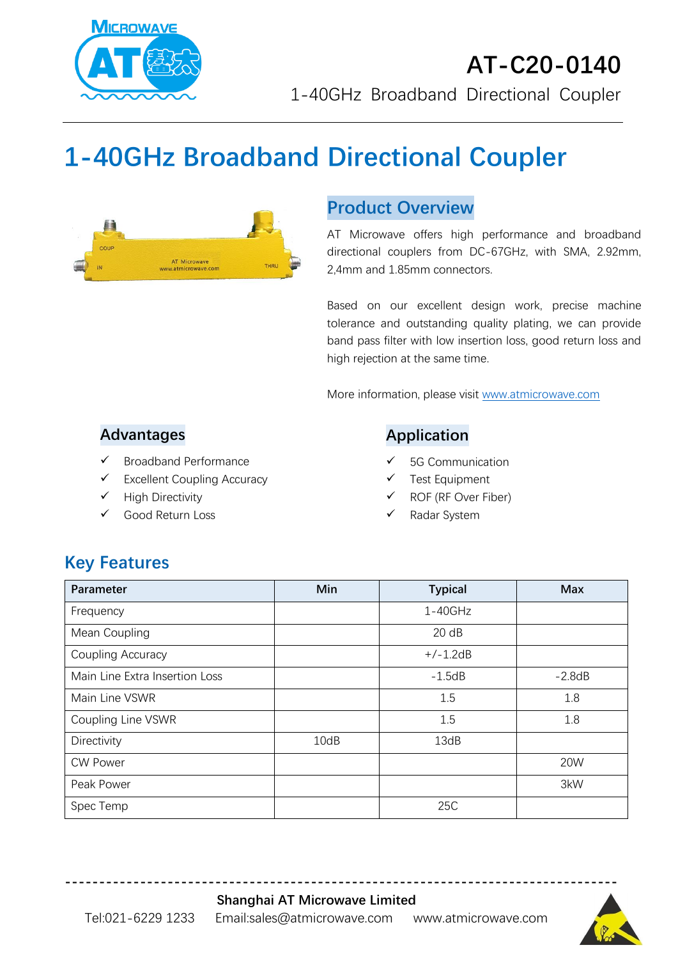

# **1-40GHz Broadband Directional Coupler**



#### **Product Overview**

AT Microwave offers high performance and broadband directional couplers from DC-67GHz, with SMA, 2.92mm, 2,4mm and 1.85mm connectors.

Based on our excellent design work, precise machine tolerance and outstanding quality plating, we can provide band pass filter with low insertion loss, good return loss and high rejection at the same time.

More information, please visit [www.atmicrowave.com](http://www.atmicrowave.com/)

#### **Advantages**

- ✓ Broadband Performance
- ✓ Excellent Coupling Accuracy
- ✓ High Directivity
- Good Return Loss

#### **Application**

- 5G Communication
- Test Equipment
- ROF (RF Over Fiber)
- Radar System

## **Key Features**

| Parameter                      | Min  | <b>Typical</b> | <b>Max</b> |
|--------------------------------|------|----------------|------------|
| Frequency                      |      | $1 - 40$ GHz   |            |
| Mean Coupling                  |      | 20 dB          |            |
| Coupling Accuracy              |      | $+/-1.2dB$     |            |
| Main Line Extra Insertion Loss |      | $-1.5dB$       | $-2.8dB$   |
| Main Line VSWR                 |      | 1.5            | 1.8        |
| Coupling Line VSWR             |      | 1.5            | 1.8        |
| Directivity                    | 10dB | 13dB           |            |
| <b>CW Power</b>                |      |                | 20W        |
| Peak Power                     |      |                | 3kW        |
| Spec Temp                      |      | 25C            |            |

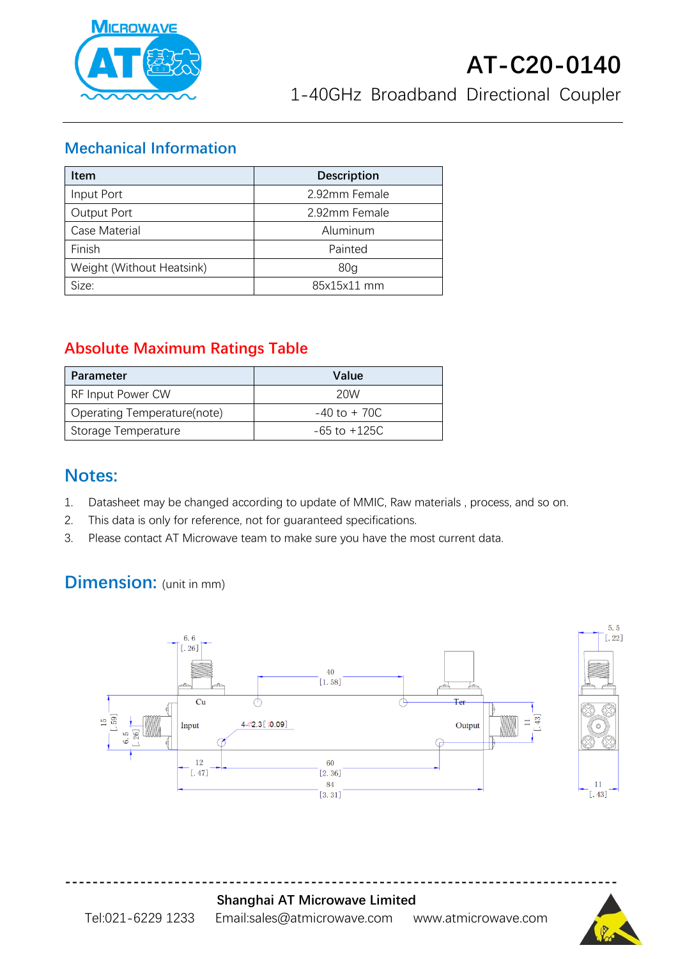

#### **Mechanical Information**

| <b>Item</b>               | <b>Description</b> |  |
|---------------------------|--------------------|--|
| Input Port                | 2.92mm Female      |  |
| Output Port               | 2.92mm Female      |  |
| Case Material             | Aluminum           |  |
| Finish                    | Painted            |  |
| Weight (Without Heatsink) | 80 <sub>g</sub>    |  |
| Size:                     | 85x15x11 mm        |  |

## **Absolute Maximum Ratings Table**

| <b>Parameter</b>            | Value            |
|-----------------------------|------------------|
| <b>RF Input Power CW</b>    | 20W              |
| Operating Temperature(note) | $-40$ to $+70C$  |
| Storage Temperature         | $-65$ to $+125C$ |

### **Notes:**

- 1. Datasheet may be changed according to update of MMIC, Raw materials , process, and so on.
- 2. This data is only for reference, not for guaranteed specifications.
- 3. Please contact AT Microwave team to make sure you have the most current data.

## **Dimension:** (unit in mm)